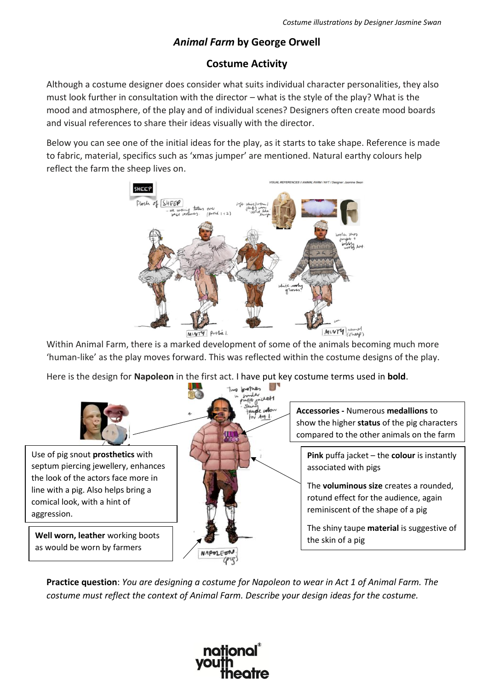## *Animal Farm* **by George Orwell**

## **Costume Activity**

Although a costume designer does consider what suits individual character personalities, they also must look further in consultation with the director – what is the style of the play? What is the mood and atmosphere, of the play and of individual scenes? Designers often create mood boards and visual references to share their ideas visually with the director.

Below you can see one of the initial ideas for the play, as it starts to take shape. Reference is made to fabric, material, specifics such as 'xmas jumper' are mentioned. Natural earthy colours help reflect the farm the sheep lives on.



Within Animal Farm, there is a marked development of some of the animals becoming much more 'human-like' as the play moves forward. This was reflected within the costume designs of the play.

Here is the design for **Napoleon** in the first act. I have put key costume terms used in **bold**.



**Practice question**: *You are designing a costume for Napoleon to wear in Act 1 of Animal Farm. The costume must reflect the context of Animal Farm. Describe your design ideas for the costume.*